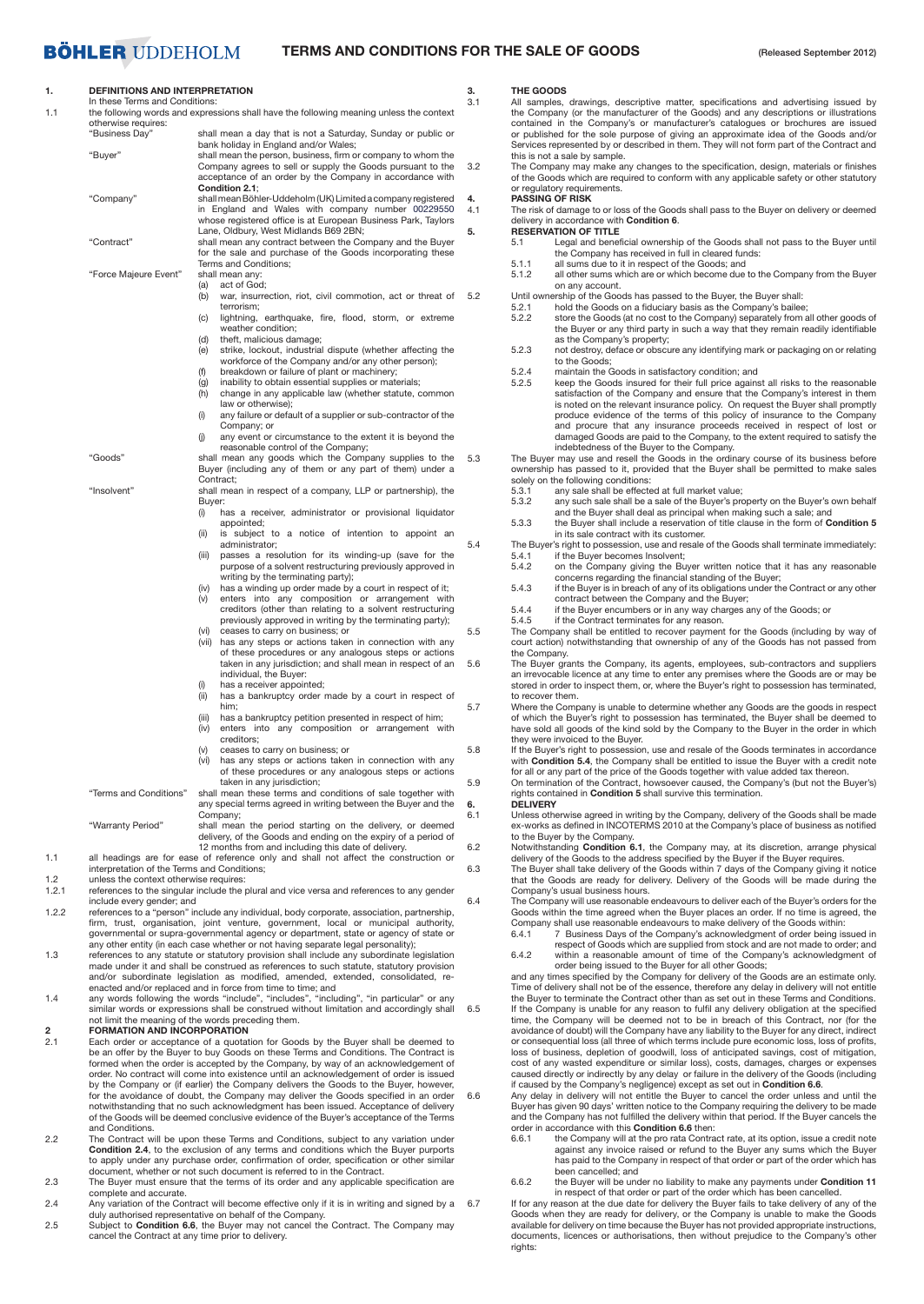### **BÖHLER UDDEHOLM**

### **TERMS AND CONDITIONS FOR THE SALE OF GOODS**

### **1. DEFINITIONS AND INTERPRETATION**

|     | <u>III URSE TEMIS ANO CONQUIDIS.</u>                                                    |
|-----|-----------------------------------------------------------------------------------------|
| 1.1 | the following words and expressions shall have the following meaning unless the context |
|     |                                                                                         |

| ι.    | DEFINITIONS AND INTERPRETATION<br>In these Terms and Conditions:                        |                                                                                                                   |  |
|-------|-----------------------------------------------------------------------------------------|-------------------------------------------------------------------------------------------------------------------|--|
| 1.1   | the following words and expressions shall have the following meaning unless the context |                                                                                                                   |  |
|       | otherwise requires:                                                                     |                                                                                                                   |  |
|       | "Business Day"                                                                          | shall mean a day that is not a Saturday, Sunday or public or                                                      |  |
|       |                                                                                         | bank holiday in England and/or Wales;                                                                             |  |
|       | "Buyer"                                                                                 | shall mean the person, business, firm or company to whom the                                                      |  |
|       |                                                                                         | Company agrees to sell or supply the Goods pursuant to the                                                        |  |
|       |                                                                                         | acceptance of an order by the Company in accordance with<br>Condition 2.1:                                        |  |
|       | "Company"                                                                               | shall mean Böhler-Uddeholm (UK) Limited a company registered                                                      |  |
|       |                                                                                         | in England and Wales with company number 00229550                                                                 |  |
|       |                                                                                         | whose registered office is at European Business Park, Taylors                                                     |  |
|       |                                                                                         | Lane, Oldbury, West Midlands B69 2BN;                                                                             |  |
|       | "Contract"                                                                              | shall mean any contract between the Company and the Buyer                                                         |  |
|       |                                                                                         | for the sale and purchase of the Goods incorporating these                                                        |  |
|       |                                                                                         | Terms and Conditions;                                                                                             |  |
|       | "Force Majeure Event"                                                                   | shall mean any:                                                                                                   |  |
|       |                                                                                         | act of God;<br>(a)                                                                                                |  |
|       |                                                                                         | (b)<br>war, insurrection, riot, civil commotion, act or threat of                                                 |  |
|       |                                                                                         | terrorism:<br>lightning, earthquake, fire, flood, storm, or extreme                                               |  |
|       |                                                                                         | (c)<br>weather condition;                                                                                         |  |
|       |                                                                                         | theft, malicious damage;<br>(d)                                                                                   |  |
|       |                                                                                         | strike, lockout, industrial dispute (whether affecting the<br>(e)                                                 |  |
|       |                                                                                         | workforce of the Company and/or any other person);                                                                |  |
|       |                                                                                         | breakdown or failure of plant or machinery;<br>(f)                                                                |  |
|       |                                                                                         | inability to obtain essential supplies or materials;<br>(g)                                                       |  |
|       |                                                                                         | (h)<br>change in any applicable law (whether statute, common                                                      |  |
|       |                                                                                         | law or otherwise);                                                                                                |  |
|       |                                                                                         | any failure or default of a supplier or sub-contractor of the<br>(i)                                              |  |
|       |                                                                                         | Company; or                                                                                                       |  |
|       |                                                                                         | any event or circumstance to the extent it is beyond the<br>(j)<br>reasonable control of the Company;             |  |
|       | "Goods"                                                                                 | shall mean any goods which the Company supplies to the                                                            |  |
|       |                                                                                         | Buyer (including any of them or any part of them) under a                                                         |  |
|       |                                                                                         | Contract;                                                                                                         |  |
|       | "Insolvent"                                                                             | shall mean in respect of a company, LLP or partnership), the                                                      |  |
|       |                                                                                         | Buyer:                                                                                                            |  |
|       |                                                                                         | has a receiver, administrator or provisional liquidator<br>(i)                                                    |  |
|       |                                                                                         | appointed;                                                                                                        |  |
|       |                                                                                         | is subject to a notice of intention to appoint an<br>(ii)                                                         |  |
|       |                                                                                         | administrator;<br>(iii)                                                                                           |  |
|       |                                                                                         | passes a resolution for its winding-up (save for the<br>purpose of a solvent restructuring previously approved in |  |
|       |                                                                                         | writing by the terminating party);                                                                                |  |
|       |                                                                                         | has a winding up order made by a court in respect of it;<br>(iv)                                                  |  |
|       |                                                                                         | enters into any composition or arrangement with<br>(v)                                                            |  |
|       |                                                                                         | creditors (other than relating to a solvent restructuring                                                         |  |
|       |                                                                                         | previously approved in writing by the terminating party);                                                         |  |
|       |                                                                                         | (vi)<br>ceases to carry on business; or                                                                           |  |
|       |                                                                                         | (vii) has any steps or actions taken in connection with any                                                       |  |
|       |                                                                                         | of these procedures or any analogous steps or actions                                                             |  |
|       |                                                                                         | taken in any jurisdiction; and shall mean in respect of an<br>individual, the Buyer:                              |  |
|       |                                                                                         | has a receiver appointed;<br>(i)                                                                                  |  |
|       |                                                                                         | (ii)<br>has a bankruptcy order made by a court in respect of                                                      |  |
|       |                                                                                         | him;                                                                                                              |  |
|       |                                                                                         | has a bankruptcy petition presented in respect of him;<br>(iii)                                                   |  |
|       |                                                                                         | enters into any composition or arrangement with<br>(iv)                                                           |  |
|       |                                                                                         | creditors;                                                                                                        |  |
|       |                                                                                         | ceases to carry on business; or<br>(v)                                                                            |  |
|       |                                                                                         | has any steps or actions taken in connection with any<br>(vi)                                                     |  |
|       |                                                                                         | of these procedures or any analogous steps or actions                                                             |  |
|       | "Terms and Conditions"                                                                  | taken in any jurisdiction;<br>shall mean these terms and conditions of sale together with                         |  |
|       |                                                                                         | any special terms agreed in writing between the Buyer and the                                                     |  |
|       |                                                                                         | Company;                                                                                                          |  |
|       | "Warranty Period"                                                                       | shall mean the period starting on the delivery, or deemed                                                         |  |
|       |                                                                                         | delivery, of the Goods and ending on the expiry of a period of                                                    |  |
|       |                                                                                         | 12 months from and including this date of delivery.                                                               |  |
| 1.1   |                                                                                         | all headings are for ease of reference only and shall not affect the construction or                              |  |
| 1.2   | interpretation of the Terms and Conditions;                                             |                                                                                                                   |  |
| 1.2.1 | unless the context otherwise requires:                                                  | references to the singular include the plural and vice versa and references to any gender                         |  |
|       | include every gender; and                                                               |                                                                                                                   |  |
| 1.2.2 |                                                                                         | references to a "person" include any individual, body corporate, association, partnership,                        |  |
|       |                                                                                         | firm, trust, organisation, joint venture, government, local or municipal authority,                               |  |
|       |                                                                                         | governmental or supra-governmental agency or department, state or agency of state or                              |  |
|       |                                                                                         | any other entity (in each case whether or not having separate legal personality);                                 |  |
| 1.3   |                                                                                         | references to any statute or statutory provision shall include any subordinate legislation                        |  |
|       |                                                                                         | made under it and shall be construed as references to such statute, statutory provision                           |  |
|       |                                                                                         | and/or subordinate legislation as modified, amended, extended, consolidated, re-                                  |  |
|       |                                                                                         | enacted and/or replaced and in force from time to time; and                                                       |  |

enacted and/or replaced and in force from time to time; and 1.4 any words following the words "include", "includes", "including", "in particular" or any similar words or expressions shall be construed without limitation and accordingly shall not limit the meaning of the words preceding them. **2 FORMATION AND INCORPORATION**

2.1 Each order or acceptance of a quotation for Goods by the Buyer shall be deemed to be an offer by the Buyer to buy Goods on these Terms and Conditions. The Contract is formed when the order is accepted by the Company, by way of an acknowledgement of order. No contract will come into existence until an acknowledgement of order is issued by the Company or (if earlier) the Company delivers the Goods to the Buyer, however, for the avoidance of doubt, the Company may deliver the Goods specified in an order notwithstanding that no such acknowledgment has been issued. Acceptance of delivery of the Goods will be deemed conclusive evidence of the Buyer's acceptance of the Terms and Conditions.

- 2.2 The Contract will be upon these Terms and Conditions, subject to any variation under **Condition 2.4**, to the exclusion of any terms and conditions which the Buyer purports to apply under any purchase order, confirmation of order, specification or other similar document, whether or not such document is referred to in the Contract.
- 2.3 The Buyer must ensure that the terms of its order and any applicable specification are complete and accurate.
- 2.4 Any variation of the Contract will become effective only if it is in writing and signed by a 6.7 duly authorised representative on behalf of the Company. 2.5 Subject to **Condition 6.6**, the Buyer may not cancel the Contract. The Company may
- cancel the Contract at any time prior to delivery.

### **3. THE GOODS**<br>3.1 All samples.

- All samples, drawings, descriptive matter, specifications and advertising issued by the Company (or the manufacturer of the Goods) and any descriptions or illustrations contained in the Company's or manufacturer's catalogues or brochures are issued or published for the sole purpose of giving an approximate idea of the Goods and/or Services represented by or described in them. They will not form part of the Contract and this is not a sale by sample.
- 3.2 The Company may make any changes to the specification, design, materials or finishes of the Goods which are required to conform with any applicable safety or other statutory or regulatory requirements.

**4. PASSING OF RISK** 4.1 The risk of damage to or loss of the Goods shall pass to the Buyer on delivery or deemed delivery in accordance with **Condition 6**. **5. RESERVATION OF TITLE**

- 5.1 Legal and beneficial ownership of the Goods shall not pass to the Buyer until the Company has received in full in cleared funds:
	-
- 5.1.1 all sums due to it in respect of the Goods; and 5.1.2 all other sums which are or which become due to the Company from the Buyer
- on any account. 5.2 Until ownership of the Goods has passed to the Buyer, the Buyer shall:
	-
	- 5.2.1 hold the Goods on a fiduciary basis as the Company's bailee; 5.2.2 store the Goods (at no cost to the Company) separately from all other goods of the Buyer or any third party in such a way that they remain readily identifiable as the Company's property;
	- 5.2.3 not destroy, deface or obscure any identifying mark or packaging on or relating to the Goods;
	- 5.2.4 maintain the Goods in satisfactory condition; and<br>5.2.5 keep the Goods insured for their full price agains
	- 5.2.5 keep the Goods insured for their full price against all risks to the reasonable satisfaction of the Company and ensure that the Company's interest in them is noted on the relevant insurance policy. On request the Buyer shall promptly produce evidence of the terms of this policy of insurance to the Company and procure that any insurance proceeds received in respect of lost or damaged Goods are paid to the Company, to the extent required to satisfy the

indebtedness of the Buyer to the Company. 5.3 The Buyer may use and resell the Goods in the ordinary course of its business before ownership has passed to it, provided that the Buyer shall be permitted to make sales

- solely on the following conditions: 5.3.1 any sale shall be effected at full market value;
- 5.3.2 any such sale shall be a sale of the Buyer's property on the Buyer's own behalf and the Buyer shall deal as principal when making such a sale; and
- 5.3.3 the Buyer shall include a reservation of title clause in the form of **Condition 5** in its sale contract with its customer.
- 5.4 The Buyer's right to possession, use and resale of the Goods shall terminate immediately:<br>5.4.1 if the Buyer becomes Insolvent: if the Buyer becomes Insolvent;
	- 5.4.2 on the Company giving the Buyer written notice that it has any reasonable<br>concerns regarding the financial standing of the Buyer;<br>5.4.3 if the Buyer is in breach of any of its obligations under the Contract or any ot
	- contract between the Company and the Buyer;
	- 5.4.4 if the Buyer encumbers or in any way charges any of the Goods; or 5.4.5 if the Contract terminates for any reason
	- if the Contract terminates for any reason.

5.5 The Company shall be entitled to recover payment for the Goods (including by way of court action) notwithstanding that ownership of any of the Goods has not p the Company.

- 5.6 The Buyer grants the Company, its agents, employees, sub-contractors and suppliers an irrevocable licence at any time to enter any premises where the Goods are or may be stored in order to inspect them, or, where the Buyer's right to possession has terminated, to recover them.
- 5.7 Where the Company is unable to determine whether any Goods are the goods in respect of which the Buyer's right to possession has terminated, the Buyer shall be deemed to have sold all goods of the kind sold by the Company to the Buyer in the order in which they were invoiced to the Buyer.

5.8 If the Buyer's right to possession, use and resale of the Goods terminates in accordance with **Condition 5.4**, the Company shall be entitled to issue the Buyer with a credit note

for all or any part of the price of the Goods together with value added tax thereon. 5.9 On termination of the Contract, howsoever caused, the Company's (but not the Buyer's) rights contained in **Condition 5** shall survive this termination. **6. DELIVERY**

- 6.1 Unless otherwise agreed in writing by the Company, delivery of the Goods shall be made ex-works as defined in INCOTERMS 2010 at the Company's place of business as notified to the Buyer by the Company. 6.2 Notwithstanding **Condition 6.1**, the Company may, at its discretion, arrange physical
- delivery of the Goods to the address specified by the Buyer if the Buyer requires. 6.3 The Buyer shall take delivery of the Goods within 7 days of the Company giving it notice
	- that the Goods are ready for delivery. Delivery of the Goods will be made during the Company's usual business hours.
- 6.4 The Company will use reasonable endeavours to deliver each of the Buyer's orders for the Goods within the time agreed when the Buyer places an order. If no time is agreed, the Company shall use reasonable endeavours to make delivery of the Goods within:<br>6.4.1 7 Business Days of the Company's acknowledge and order being is:
	- 6.4.1 7 Business Days of the Company's acknowledgment of order being issued in respect of Goods which are supplied from stock and are not made to order; and 6.4.2 within a reasonable amount of time of the Company's acknowledgment of
	- order being issued to the Buyer for all other Goods; and any times specified by the Company for delivery of the Goods are an estimate only. Time of delivery shall not be of the essence, therefore any delay in delivery will not entitle
- the Buyer to terminate the Contract other than as set out in these Terms and Conditions. 6.5 If the Company is unable for any reason to fulfil any delivery obligation at the specified time, the Company will be deemed not to be in breach of this Contract, nor (for the avoidance of doubt) will the Company have any liability to the Buyer for any direct, indirect or consequential loss (all three of which terms include pure economic loss, loss of profits, loss of business, depletion of goodwill, loss of anticipated savings, cost of mitigation, cost of any wasted expenditure or similar loss), costs, damages, charges or expenses caused directly or indirectly by any delay or failure in the delivery of the Goods (including if caused by the Company's negligence) except as set out in **Condition 6.6**. 6.6 Any delay in delivery will not entitle the Buyer to cancel the order unless and until the
	- Buyer has given 90 days' written notice to the Company requiring the delivery to be made and the Company has not fulfilled the delivery within that period. If the Buyer cancels the order in accordance with this **Condition 6.6** then:<br>6.6.1 the Company will at the pro rata Contra
	- the Company will at the pro rata Contract rate, at its option, issue a credit note against any invoice raised or refund to the Buyer any sums which the Buyer has paid to the Company in respect of that order or part of the order which has been cancelled; and
	- 6.6.2 the Buyer will be under no liability to make any payments under **Condition 11**
- in respect of that order or part of the order which has been cancelled.<br>6.7 If for any reason at the due date for delivery the Buyer fails to take delivery of any of the<br>Goods when they are ready for delivery, or the Compa available for delivery on time because the Buyer has not provided appropriate instructions, documents, licences or authorisations, then without prejudice to the Company's other rights: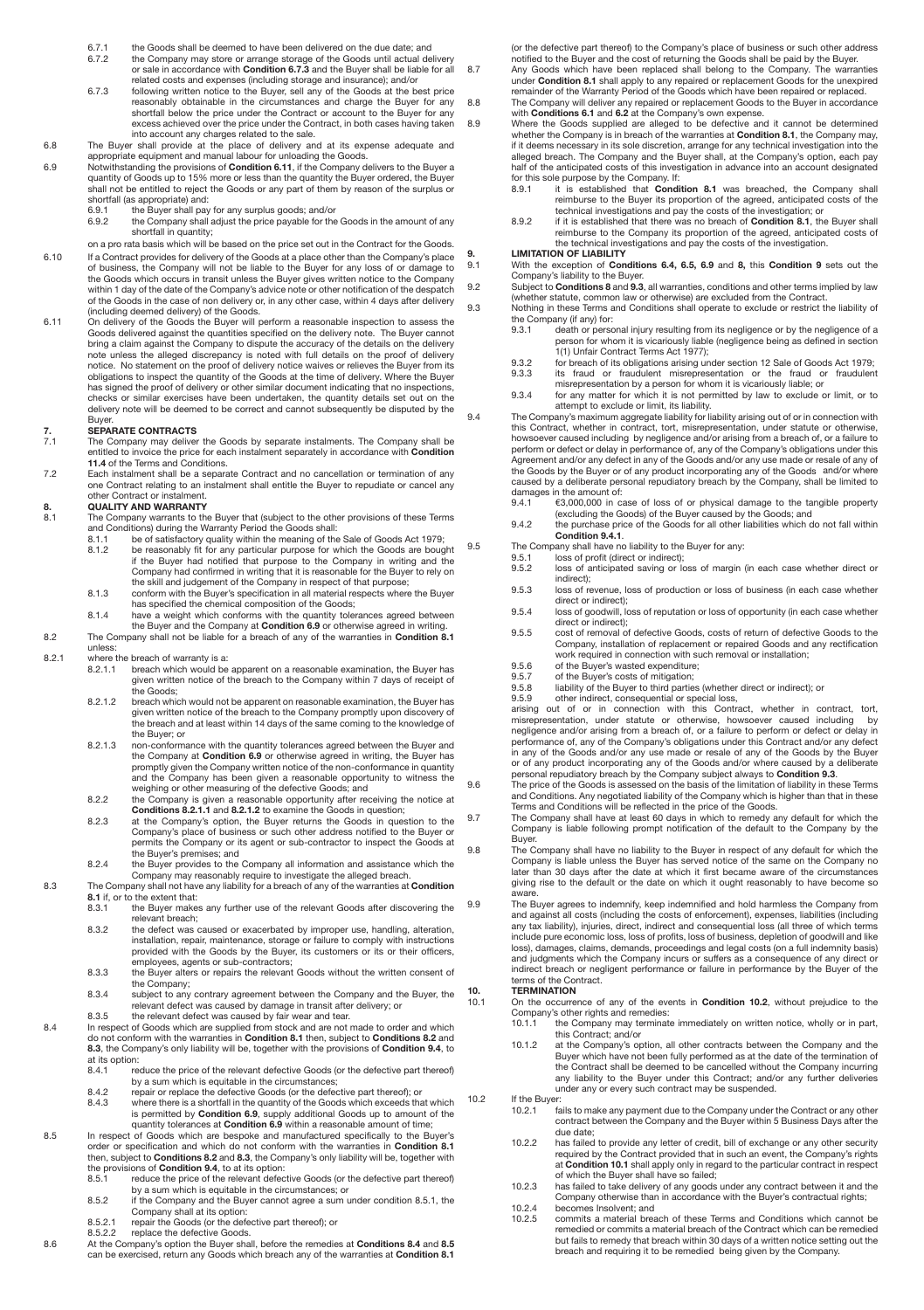- 6.7.1 the Goods shall be deemed to have been delivered on the due date; and
- 6.7.2 the Company may store or arrange storage of the Goods until actual delivery or sale in accordance with **Condition 6.7.3** and the Buyer shall be liable for all
- related costs and expenses (including storage and insurance); and/or 6.7.3 following written notice to the Buyer, sell any of the Goods at the best price reasonably obtainable in the circumstances and charge the Buyer for any<br>shortfall below the price under the Contract or account to the Buyer for any<br>excess achieved over the price under the Contract, in both cases having t into account any charges related to the sale.
- 6.8 The Buyer shall provide at the place of delivery and at its expense adequate and appropriate equipment and manual labour for unloading the Goods.
- 6.9 Notwithstanding the provisions of **Condition 6.11**, if the Company delivers to the Buyer a quantity of Goods up to 15% more or less than the quantity the Buyer ordered, the Buyer shall not be entitled to reject the Goods or any part of them by reason of the surplus or shortfall (as appropriate) and:
	- 6.9.1 the Buyer shall pay for any surplus goods; and/or<br>6.9.1 the Company shall adjust the price payable for the
		- the Company shall adjust the price payable for the Goods in the amount of any shortfall in quantity;
- on a pro rata basis which will be based on the price set out in the Contract for the Goods. 6.10 If a Contract provides for delivery of the Goods at a place other than the Company's place of business, the Company will not be liable to the Buyer for any loss of or damage to<br>the Goods which occurs in transit unless the Buyer gives written notice to the Company<br>within 1 day of the date of the Company's advice of the Goods in the case of non delivery or, in any other case, within 4 days after delivery (including deemed delivery) of the Goods.
- 6.11 On delivery of the Goods the Buyer will perform a reasonable inspection to assess the Goods delivered against the quantities specified on the delivery note. The Buyer cannot bring a claim against the Company to dispute the accuracy of the details on the delivery note unless the alleged discrepancy is noted with full details on the proof of delivery notice. No statement on the proof of delivery notice waives or relieves the Buyer from its obligations to inspect the quantity of the Goods at the time of delivery. Where the Buyer has signed the proof of delivery or other similar document indicating that no inspections, checks or similar exercises have been undertaken, the quantity details set out on the delivery note will be deemed to be correct and cannot subsequently be disputed by the Buyer.

# **7. SEPARATE CONTRACTS**<br>**7.1** The Company may deliver

- The Company may deliver the Goods by separate instalments. The Company shall be entitled to invoice the price for each instalment separately in accordance with **Condition 11.4** of the Terms and Conditions.
- 7.2 Each instalment shall be a separate Contract and no cancellation or termination of any one Contract relating to an instalment shall entitle the Buyer to repudiate or cancel any other Contract or instalment.

# **8. QUALITY AND WARRANTY**<br>8.1 The Company warrants to the

- 8.1 The Company warrants to the Buyer that (subject to the other provisions of these Terms and Conditions) during the Warranty Period the Goods shall:
	- 8.1.1 be of satisfactory quality within the meaning of the Sale of Goods Act 1979; 8.1.2 be reasonably fit for any particular purpose for which the Goods are bought if the Buyer had notified that purpose to the Company in writing and the Company had confirmed in writing that it is reasonable for the Buyer to rely on
	- the skill and judgement of the Company in respect of that purpose; 8.1.3 conform with the Buyer's specification in all material respects where the Buyer has specified the chemical composition of the Goods;
	- 8.1.4 have a weight which conforms with the quantity tolerances agreed between
- the Buyer and the Company at **Condition 6.9** or otherwise agreed in writing.<br>8.2 The Company shall not be liable for a breach of any of the warranties in **Condition 8.1** unless:
- 8.2.1 where the breach of warranty is a:
	- 8.2.1.1 breach which would be apparent on a reasonable examination, the Buyer has given written notice of the breach to the Company within 7 days of receipt of the Goods;
	- 8.2.1.2 breach which would not be apparent on reasonable examination, the Buyer has<br>given written notice of the breach to the Company promptly upon discovery of<br>the breach and at least within 14 days of the same coming to the Buyer; or
	- 8.2.1.3 non-conformance with the quantity tolerances agreed between the Buyer and the Company at **Condition 6.9** or otherwise agreed in writing, the Buyer has promptly given the Company written notice of the non-conformance in quantity and the Company has been given a reasonable opportunity to witness the
	- weighing or other measuring of the defective Goods; and<br>8.2.2 the Company is given a reasonable opportunity after receiving the notice at
	- **Conditions 8.2.1.1** and 8.2.1.2 to examine the Goods in question;<br>8.2.3 at the Company's option, the Buyer returns the Goods in question to the Company's place of business or such other address notified to the Buyer or permits the Company or its agent or sub-contractor to inspect the Goods at the Buyer's premises; and
	- 8.2.4 the Buyer provides to the Company all information and assistance which the
- Company may reasonably require to investigate the alleged breach. 8.3 The Company shall not have any liability for a breach of any of the warranties at **Condition** 
	- **8.1** if, or to the extent that:<br>8.3.1 the Buyer make the Buyer makes any further use of the relevant Goods after discovering the relevant breach;
	- 8.3.2 the defect was caused or exacerbated by improper use, handling, alteration, installation, repair, maintenance, storage or failure to comply with instructions provided with the Goods by the Buyer, its customers or its or their officers, employees, agents or sub-contractors;
	- 8.3.3 the Buyer alters or repairs the relevant Goods without the written consent of the Company;
- 8.3.4 subject to any contrary agreement between the Company and the Buyer, the relevant defect was caused by damage in transit after delivery; or<br>8.3.5 the relevant defect was caused by fair wear and tear.<br>8.4 In respect of Goods which are supplied from stock and are not made to order and which
	- do not conform with the warranties in **Condition 8.1** then, subject to **Conditions 8.2** and **8.3**, the Company's only liability will be, together with the provisions of **Condition 9.4**, to at its option:<br>8.4.1 re
		- reduce the price of the relevant defective Goods (or the defective part thereof) by a sum which is equitable in the circumstances; 8.4.2 repair or replace the defective Goods (or the defective part thereof); or
		- 8.4.3 where there is a shortfall in the quantity of the Goods which exceeds that which is permitted by **Condition 6.9**, supply additional Goods up to amount of the
- quantity tolerances at **Condition 6.9** within a reasonable amount of time; 8.5 In respect of Goods which are bespoke and manufactured specifically to the Buyer's order or specification and which do not conform with the warranties in **Condition 8.1** then, subject to **Conditions 8.2** and **8.3**, the Company's only liability will be, together with
	- the provisions of **Condition 9.4**, to at its option:<br>8.5.1 reduce the price of the relevant defective Goods (or the defective part thereof)<br>by a sum which is equitable in the circumstances; or
	- 8.5.2 if the Company and the Buyer cannot agree a sum under condition 8.5.1, the Company shall at its option: 8.5.2.1 repair the Goods (or the defective part thereof); or
	- 8.5.2.2 replace the defective Goods.
- 8.6 At the Company's option the Buyer shall, before the remedies at **Conditions 8.4** and **8.5** can be exercised, return any Goods which breach any of the warranties at **Condition 8.1**

(or the defective part thereof) to the Company's place of business or such other address

- notified to the Buyer and the cost of returning the Goods shall be paid by the Buyer.<br>8.7 Any Goods which have been replaced shall belong to the Company. The warranties<br>under Condition 8.1 shall apply to any repaired or re remainder of the Warranty Period of the Goods which have been repaired or replaced. 8.8 The Company will deliver any repaired or replacement Goods to the Buyer in accordance with **Conditions 6.1** and **6.2** at the Company's own expense.
- 8.9 Where the Goods supplied are alleged to be defective and it cannot be determined<br>whether the Company is in breach of the warranties at Condition 8.1, the Company may,<br>if it deems necessary in its sole discretion, arran alleged breach. The Company and the Buyer shall, at the Company's option, each pay half of the anticipated costs of this investigation in advance into an account designated for this sole purpose by the Company. If:<br>8.9.1 it is established that **Condi** 
	- it is established that **Condition 8.1** was breached, the Company shall reimburse to the Buyer its proportion of the agreed, anticipated costs of the technical investigations and pay the costs of the investigation; or
	- 8.9.2 if it is established that there was no breach of **Condition 8.1**, the Buyer shall reimburse to the Company its proportion of the agreed, anticipated costs of the technical investigations and pay the costs of the investigation.

# **9. LIMITATION OF LIABILITY**<br>9.1 With the exception of Con

9.1 With the exception of **Conditions 6.4, 6.5, 6.9** and **8,** this **Condition 9** sets out the Company's liability to the Buyer.

9.2 Subject to **Conditions 8** and **9.3**, all warranties, conditions and other terms implied by law (whether statute, common law or otherwise) are excluded from the Contract.

- 9.3 Nothing in these Terms and Conditions shall operate to exclude or restrict the liability of the Company (if any) for:<br>9.3.1 death or perso
	- 9.3.1 death or personal injury resulting from its negligence or by the negligence of a person for whom it is vicariously liable (negligence being as defined in section
	- 1(1) Unfair Contract Terms Act 1977); 9.3.2 for breach of its obligations arising under section 12 Sale of Goods Act 1979;
	- 9.3.3 its fraud or fraudulent misrepresentation or the fraud or fraudulent misrepresentation by a person for whom it is vicariously liable; or 9.3.4 for any matter for which it is not permitted by law to exclude or limit, or to
- attempt to exclude or limit, its liability. 9.4 The Company's maximum aggregate liability for liability arising out of or in connection with this Contract, whether in contract, tort, misrepresentation, under statute or otherwise, howsoever caused including by negligence and/or arising from a breach of, or a failure to perform or defect or delay in performance of, any of the Company's obligations under this Agreement and/or any defect in any of the Goods and/or any use made or resale of any of<br>the Goods by the Buyer or of any product incorporating any of the Goods and/or where<br>caused by a deliberate personal repudiatory breac damages in the amount of:<br> $9.4.1 \qquad \text{\textsterling}3.000.000$  in ca
	- 9.4.1 €3,000,000 in case of loss of or physical damage to the tangible property (excluding the Goods) of the Buyer caused by the Goods; and 9.4.2 the purchase price of the Goods for all other liabilities which do not fall within
	- **Condition 9.4.1**.
- 9.5 The Company shall have no liability to the Buyer for any:<br>9.5.1 Ioss of profit (direct or indirect):
	- 9.5.1 loss of profit (direct or indirect); 9.5.2 loss of anticipated saving or loss of margin (in each case whether direct or indirect);
	- 9.5.3 loss of revenue, loss of production or loss of business (in each case whether direct or indirect);
	- 9.5.4 loss of goodwill, loss of reputation or loss of opportunity (in each case whether direct or indirect);
	- 9.5.5 cost of removal of defective Goods, costs of return of defective Goods to the Company, installation of replacement or repaired Goods and any rectification work required in connection with such removal or installation;
	- 9.5.6 of the Buyer's wasted expenditure;<br>9.5.7 of the Buyer's costs of mitigation;
	- 9.5.7 of the Buyer's costs of mitigation;<br>9.5.8 liability of the Buyer to third parties
	- 9.5.8 liability of the Buyer to third parties (whether direct or indirect); or 9.5.9 other indirect, consequential or special loss,

arising out of or in connection with this Contract, whether in contract, tort, misrepresentation, under statute or otherwise, howsoever caused including by negligence and/or arising from a breach of, or a failure to perform or defect or delay in performance of, any of the Company's obligations under this Contract and/or any defect in any of the Goods and/or any use made or resale of any of the Goods by the Buyer or of any product incorporating any of the Goods and/or where caused by a deliberate

- personal repudiatory breach by the Company subject always to Condition 9.3.<br>The price of the Goods is assessed on the basis of the limitation of liability in these Terms<br>and Conditions. Any negotiated liability of the Comp Terms and Conditions will be reflected in the price of the Goods. 9.7 The Company shall have at least 60 days in which to remedy any default for which the
	- Company is liable following prompt notification of the default to the Company by the Buyer.

9.8 The Company shall have no liability to the Buyer in respect of any default for which the Company is liable unless the Buyer has served notice of the same on the Company no later than 30 days after the date at which it first became aware of the circumstances giving rise to the default or the date on which it ought reasonably to have become so aware. 9.9 The Buyer agrees to indemnify, keep indemnified and hold harmless the Company from

and against all costs (including the costs of enforcement), expenses, liabilities (including any tax liability), injuries, direct, indirect and consequential loss (all three of which terms include pure economic loss, loss of profits, loss of business, depletion of goodwill and like loss), damages, claims, demands, proceedings and legal costs (on a full indemnity basis) and judgments which the Company incurs or suffers as a consequence of any direct or indirect breach or negligent performance or failure in performance by the Buyer of the terms of the Contract.

10.1 On the occurrence of any of the events in **Condition 10.2**, without prejudice to the Company's other rights and remedies:

- this Contract; and/or
- 10.1.2 at the Company's option, all other contracts between the Company and the Buyer which have not been fully performed as at the date of the termination of the Contract shall be deemed to be cancelled without the Company incurring any liability to the Buyer under this Contract; and/or any further deliveries under any or every such contract may be suspended.

### 10.2 If the Buyer:

- 10.2.1 fails to make any payment due to the Company under the Contract or any other contract between the Company and the Buyer within 5 Business Days after the due date;
- 10.2.2 has failed to provide any letter of credit, bill of exchange or any other security required by the Contract provided that in such an event, the Company's rights at **Condition 10.1** shall apply only in regard to the particular contract in respect of which the Buyer shall have so failed;
- 10.2.3 has failed to take delivery of any goods under any contract between it and the Company otherwise than in accordance with the Buyer's contractual rights:
- 10.2.4 becomes Insolvent; and 10.2.5 commits a material breach of these Terms and Conditions which cannot be remedied or commits a material breach of the Contract which can be remedied but fails to remedy that breach within 30 days of a written notice setting out the breach and requiring it to be remedied being given by the Company.

10.1.1 the Company may terminate immediately on written notice, wholly or in part,

# **10. TERMINATION**